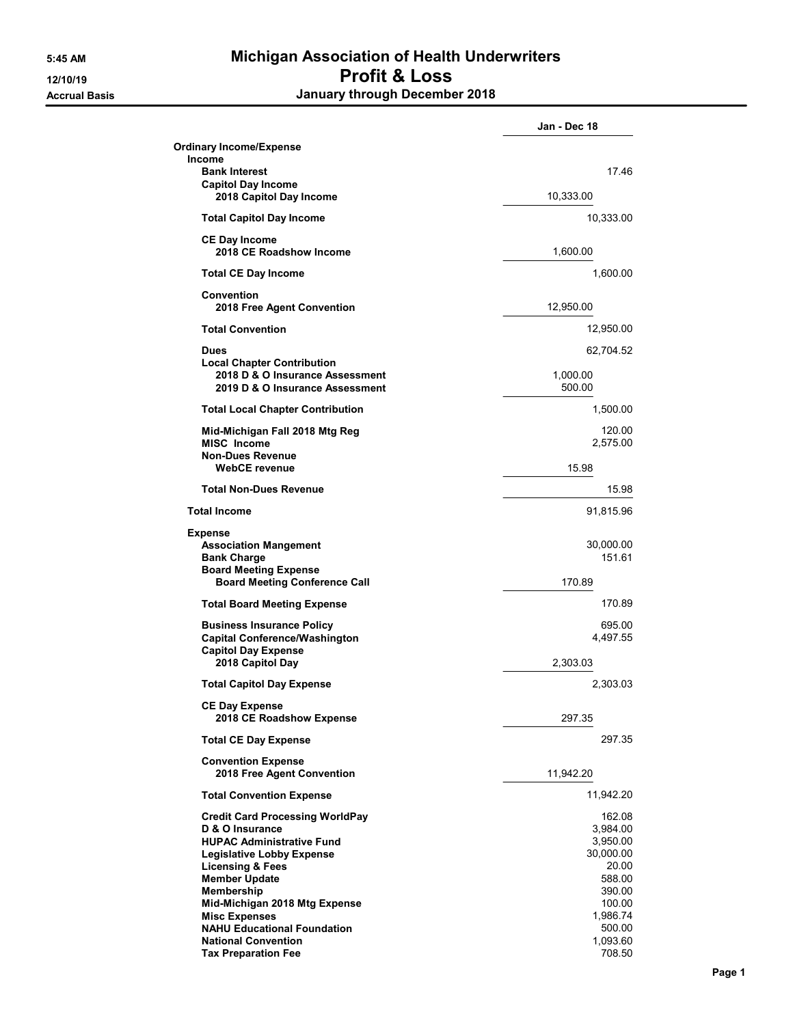## 5:45 AM Michigan Association of Health Underwriters 12/10/19 Profit & Loss Accrual Basis **Accrual Basis January through December 2018**

|                                                                                                                                                                                          | Jan - Dec 18                                                   |
|------------------------------------------------------------------------------------------------------------------------------------------------------------------------------------------|----------------------------------------------------------------|
| <b>Ordinary Income/Expense</b><br><b>Income</b>                                                                                                                                          |                                                                |
| <b>Bank Interest</b>                                                                                                                                                                     | 17.46                                                          |
| <b>Capitol Day Income</b><br>2018 Capitol Day Income                                                                                                                                     | 10,333.00                                                      |
| <b>Total Capitol Day Income</b>                                                                                                                                                          | 10,333.00                                                      |
| <b>CE Day Income</b><br>2018 CE Roadshow Income                                                                                                                                          | 1,600.00                                                       |
| <b>Total CE Day Income</b>                                                                                                                                                               | 1,600.00                                                       |
| Convention<br>2018 Free Agent Convention                                                                                                                                                 | 12,950.00                                                      |
| <b>Total Convention</b>                                                                                                                                                                  | 12,950.00                                                      |
| <b>Dues</b>                                                                                                                                                                              | 62,704.52                                                      |
| <b>Local Chapter Contribution</b><br>2018 D & O Insurance Assessment<br>2019 D & O Insurance Assessment                                                                                  | 1.000.00<br>500.00                                             |
| <b>Total Local Chapter Contribution</b>                                                                                                                                                  | 1,500.00                                                       |
| Mid-Michigan Fall 2018 Mtg Reg<br>MISC Income<br><b>Non-Dues Revenue</b>                                                                                                                 | 120.00<br>2,575.00                                             |
| <b>WebCE</b> revenue                                                                                                                                                                     | 15.98                                                          |
| <b>Total Non-Dues Revenue</b>                                                                                                                                                            | 15.98                                                          |
| <b>Total Income</b>                                                                                                                                                                      | 91,815.96                                                      |
| <b>Expense</b><br><b>Association Mangement</b><br><b>Bank Charge</b><br><b>Board Meeting Expense</b>                                                                                     | 30,000.00<br>151.61                                            |
| <b>Board Meeting Conference Call</b>                                                                                                                                                     | 170.89                                                         |
| <b>Total Board Meeting Expense</b>                                                                                                                                                       | 170.89                                                         |
| <b>Business Insurance Policy</b><br><b>Capital Conference/Washington</b>                                                                                                                 | 695.00<br>4,497.55                                             |
| <b>Capitol Day Expense</b><br>2018 Capitol Day                                                                                                                                           | 2,303.03                                                       |
| <b>Total Capitol Day Expense</b>                                                                                                                                                         | 2,303.03                                                       |
| <b>CE Day Expense</b><br>2018 CE Roadshow Expense                                                                                                                                        | 297.35                                                         |
| <b>Total CE Day Expense</b>                                                                                                                                                              | 297.35                                                         |
| <b>Convention Expense</b><br>2018 Free Agent Convention                                                                                                                                  | 11,942.20                                                      |
| <b>Total Convention Expense</b>                                                                                                                                                          | 11,942.20                                                      |
| <b>Credit Card Processing WorldPay</b><br>D & O Insurance<br><b>HUPAC Administrative Fund</b><br><b>Legislative Lobby Expense</b><br><b>Licensing &amp; Fees</b><br><b>Member Update</b> | 162.08<br>3,984.00<br>3,950.00<br>30,000.00<br>20.00<br>588.00 |
| Membership<br>Mid-Michigan 2018 Mtg Expense<br><b>Misc Expenses</b><br><b>NAHU Educational Foundation</b><br><b>National Convention</b><br><b>Tax Preparation Fee</b>                    | 390.00<br>100.00<br>1,986.74<br>500.00<br>1,093.60<br>708.50   |